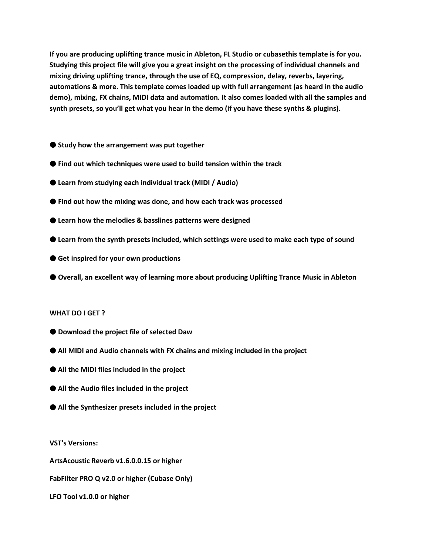**If you are producing uplifting trance music in Ableton, FL Studio or cubasethis template is for you. Studying this project file will give you a great insight on the processing of individual channels and mixing driving uplifting trance, through the use of EQ, compression, delay, reverbs, layering, automations & more. This template comes loaded up with full arrangement (as heard in the audio demo), mixing, FX chains, MIDI data and automation. It also comes loaded with all the samples and synth presets, so you'll get what you hear in the demo (if you have these synths & plugins).**

- Study how the arrangement was put together
- Find out which techniques were used to build tension within the track
- ● **Learn from studying each individual track (MIDI / Audio)**
- Find out how the mixing was done, and how each track was processed
- ● **Learn how the melodies & basslines patterns were designed**
- ● **Learn from the synth presets included, which settings were used to make each type of sound**
- ● **Get inspired for your own productions**
- Overall, an excellent way of learning more about producing Uplifting Trance Music in Ableton

## **WHAT DO I GET ?**

- ● **Download the project file of selected Daw**
- All MIDI and Audio channels with FX chains and mixing included in the project
- All the MIDI files included in the project
- All the Audio files included in the project
- ● **All the Synthesizer presets included in the project**

**VST's Versions:** 

**ArtsAcoustic Reverb v1.6.0.0.15 or higher** 

**FabFilter PRO Q v2.0 or higher (Cubase Only)** 

**LFO Tool v1.0.0 or higher**